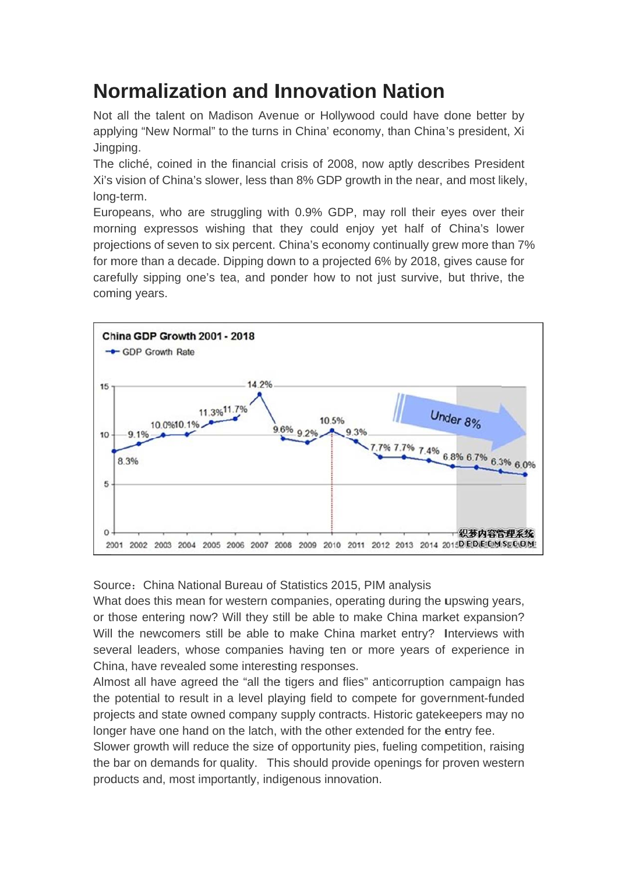## **Normalization and Innovation Nation**

Not all the talent on Madison Avenue or Hollywood could have done better by applying "New Normal" to the turns in China' economy, than China's president. Xi Jingping.

The cliché, coined in the financial crisis of 2008, now aptly describes President Xi's vision of China's slower, less than 8% GDP growth in the near, and most likely. long-term.

Europeans, who are struggling with 0.9% GDP, may roll their eves over their morning expressos wishing that they could enjoy yet half of China's lower projections of seven to six percent. China's economy continually grew more than 7% for more than a decade. Dipping down to a projected 6% by 2018, gives cause for carefully sipping one's tea, and ponder how to not just survive, but thrive, the coming years.



Source: China National Bureau of Statistics 2015, PIM analysis

What does this mean for western companies, operating during the upswing years, or those entering now? Will they still be able to make China market expansion? Will the newcomers still be able to make China market entry? Interviews with several leaders, whose companies having ten or more years of experience in China, have revealed some interesting responses.

Almost all have agreed the "all the tigers and flies" anticorruption campaign has the potential to result in a level playing field to compete for government-funded projects and state owned company supply contracts. Historic gatekeepers may no longer have one hand on the latch, with the other extended for the entry fee.

Slower growth will reduce the size of opportunity pies, fueling competition, raising the bar on demands for quality. This should provide openings for proven western products and, most importantly, indigenous innovation.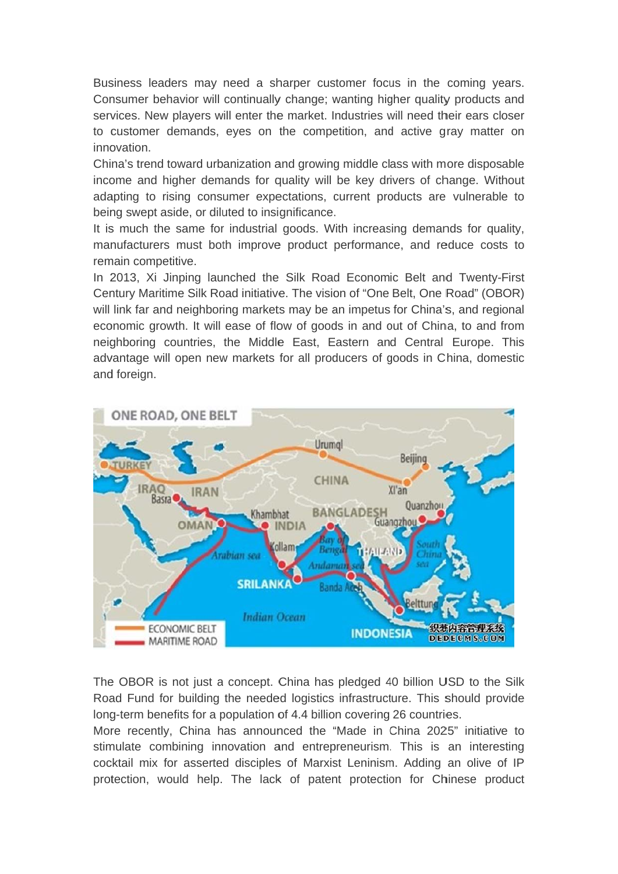Business leaders may need a sharper customer focus in the coming years. Consumer behavior will continually change; wanting higher quality products and services. New players will enter the market. Industries will need their ears closer to customer demands, eves on the competition, and active gray matter on innovation.

China's trend toward urbanization and growing middle class with more disposable income and higher demands for quality will be key drivers of change. Without adapting to rising consumer expectations, current products are vulnerable to being swept aside, or diluted to insignificance.

It is much the same for industrial goods. With increasing demands for quality, manufacturers must both improve product performance, and reduce costs to remain competitive.

In 2013, Xi Jinping launched the Silk Road Economic Belt and Twenty-First Century Maritime Silk Road initiative. The vision of "One Belt, One Road" (OBOR) will link far and neighboring markets may be an impetus for China's, and regional economic growth. It will ease of flow of goods in and out of China, to and from neighboring countries, the Middle East, Eastern and Central Europe. This advantage will open new markets for all producers of goods in China, domestic and foreign.



The OBOR is not just a concept. China has pledged 40 billion USD to the Silk Road Fund for building the needed logistics infrastructure. This should provide long-term benefits for a population of 4.4 billion covering 26 countries.

More recently, China has announced the "Made in China 2025" initiative to stimulate combining innovation and entrepreneurism. This is an interesting cocktail mix for asserted disciples of Marxist Leninism. Adding an olive of IP protection, would help. The lack of patent protection for Chinese product